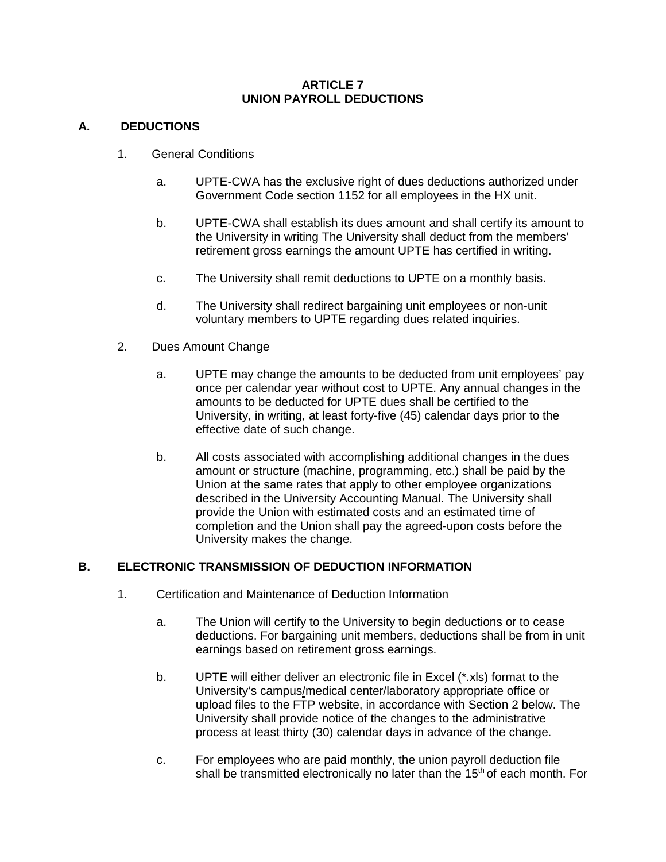#### **ARTICLE 7 UNION PAYROLL DEDUCTIONS**

### **A. DEDUCTIONS**

- 1. General Conditions
	- a. UPTE-CWA has the exclusive right of dues deductions authorized under Government Code section 1152 for all employees in the HX unit.
	- b. UPTE-CWA shall establish its dues amount and shall certify its amount to the University in writing The University shall deduct from the members' retirement gross earnings the amount UPTE has certified in writing.
	- c. The University shall remit deductions to UPTE on a monthly basis.
	- d. The University shall redirect bargaining unit employees or non-unit voluntary members to UPTE regarding dues related inquiries.
- 2. Dues Amount Change
	- a. UPTE may change the amounts to be deducted from unit employees' pay once per calendar year without cost to UPTE. Any annual changes in the amounts to be deducted for UPTE dues shall be certified to the University, in writing, at least forty-five (45) calendar days prior to the effective date of such change.
	- b. All costs associated with accomplishing additional changes in the dues amount or structure (machine, programming, etc.) shall be paid by the Union at the same rates that apply to other employee organizations described in the University Accounting Manual. The University shall provide the Union with estimated costs and an estimated time of completion and the Union shall pay the agreed-upon costs before the University makes the change.

# **B. ELECTRONIC TRANSMISSION OF DEDUCTION INFORMATION**

- 1. Certification and Maintenance of Deduction Information
	- a. The Union will certify to the University to begin deductions or to cease deductions. For bargaining unit members, deductions shall be from in unit earnings based on retirement gross earnings.
	- b. UPTE will either deliver an electronic file in Excel (\*.xls) format to the University's campus/medical center/laboratory appropriate office or upload files to the FTP website, in accordance with Section 2 below. The University shall provide notice of the changes to the administrative process at least thirty (30) calendar days in advance of the change.
	- c. For employees who are paid monthly, the union payroll deduction file shall be transmitted electronically no later than the  $15<sup>th</sup>$  of each month. For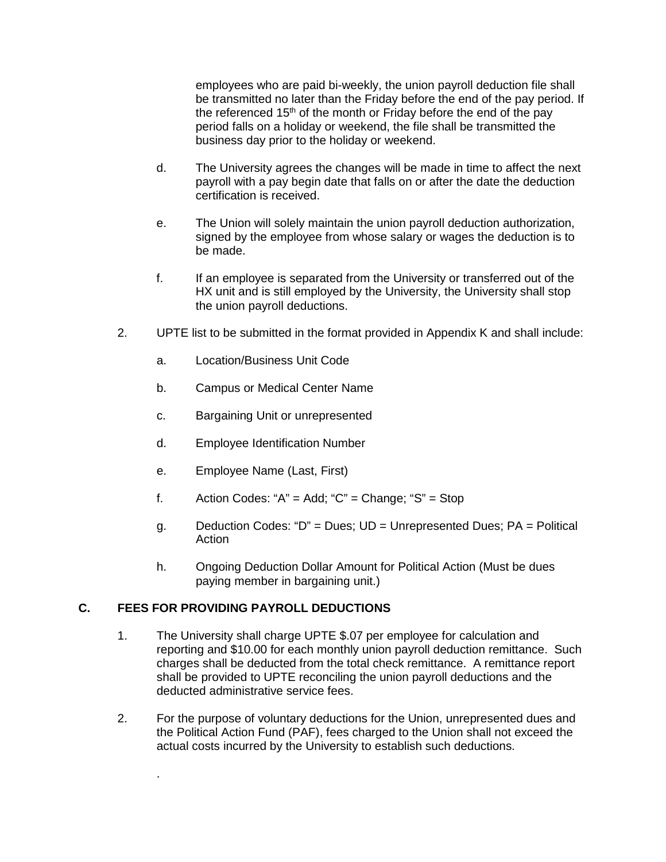employees who are paid bi-weekly, the union payroll deduction file shall be transmitted no later than the Friday before the end of the pay period. If the referenced  $15<sup>th</sup>$  of the month or Friday before the end of the pay period falls on a holiday or weekend, the file shall be transmitted the business day prior to the holiday or weekend.

- d. The University agrees the changes will be made in time to affect the next payroll with a pay begin date that falls on or after the date the deduction certification is received.
- e. The Union will solely maintain the union payroll deduction authorization, signed by the employee from whose salary or wages the deduction is to be made.
- f. If an employee is separated from the University or transferred out of the HX unit and is still employed by the University, the University shall stop the union payroll deductions.
- 2. UPTE list to be submitted in the format provided in Appendix K and shall include:
	- a. Location/Business Unit Code
	- b. Campus or Medical Center Name
	- c. Bargaining Unit or unrepresented
	- d. Employee Identification Number
	- e. Employee Name (Last, First)
	- f. Action Codes: " $A$ " = Add; " $C$ " = Change; " $S$ " = Stop
	- g. Deduction Codes: "D" = Dues; UD = Unrepresented Dues; PA = Political Action
	- h. Ongoing Deduction Dollar Amount for Political Action (Must be dues paying member in bargaining unit.)

### **C. FEES FOR PROVIDING PAYROLL DEDUCTIONS**

.

- 1. The University shall charge UPTE \$.07 per employee for calculation and reporting and \$10.00 for each monthly union payroll deduction remittance. Such charges shall be deducted from the total check remittance. A remittance report shall be provided to UPTE reconciling the union payroll deductions and the deducted administrative service fees.
- 2. For the purpose of voluntary deductions for the Union, unrepresented dues and the Political Action Fund (PAF), fees charged to the Union shall not exceed the actual costs incurred by the University to establish such deductions.